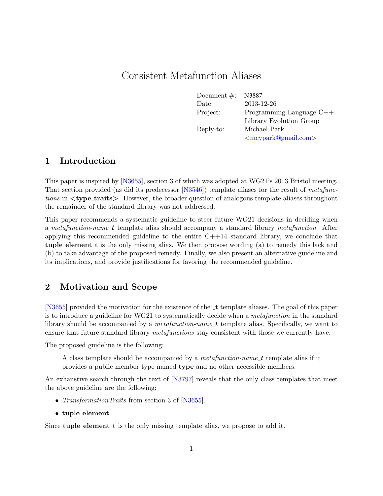# Consistent Metafunction Aliases

| Document $\#$ : | N3887                        |
|-----------------|------------------------------|
| Date:           | 2013-12-26                   |
| Project:        | Programming Language $C++$   |
|                 | Library Evolution Group      |
| Reply-to:       | Michael Park                 |
|                 | $\langle$ mcypark@gmail.com> |

#### 1 Introduction

This paper is inspired by [\[N3655\]](#page-3-0), section 3 of which was adopted at WG21's 2013 Bristol meeting. That section provided (as did its predecessor [\[N3546\]](#page-3-1)) template aliases for the result of metafunctions in  $\lt$ type\_traits >. However, the broader question of analogous template aliases throughout the remainder of the standard library was not addressed.

This paper recommends a systematic guideline to steer future WG21 decisions in deciding when a metafunction-name t template alias should accompany a standard library metafunction. After applying this recommended guideline to the entire  $C+14$  standard library, we conclude that tuple element t is the only missing alias. We then propose wording (a) to remedy this lack and (b) to take advantage of the proposed remedy. Finally, we also present an alternative guideline and its implications, and provide justifications for favoring the recommended guideline.

### 2 Motivation and Scope

[\[N3655\]](#page-3-0) provided the motivation for the existence of the  $\pm$  template aliases. The goal of this paper is to introduce a guideline for WG21 to systematically decide when a *metafunction* in the standard library should be accompanied by a *metafunction-name*  $t$  template alias. Specifically, we want to ensure that future standard library *metafunctions* stay consistent with those we currently have.

The proposed guideline is the following:

A class template should be accompanied by a *metafunction-name\_t* template alias if it provides a public member type named type and no other accessible members.

An exhaustive search through the text of [\[N3797\]](#page-3-2) reveals that the only class templates that meet the above guideline are the following:

- *TransformationTraits* from section 3 of [\[N3655\]](#page-3-0).
- tuple element

Since **tuple**-element t is the only missing template alias, we propose to add it.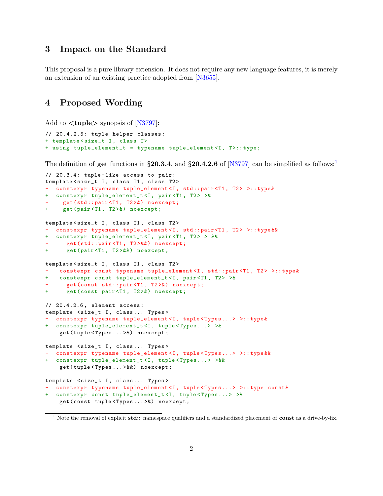#### 3 Impact on the Standard

This proposal is a pure library extension. It does not require any new language features, it is merely an extension of an existing practice adopted from [\[N3655\]](#page-3-0).

#### 4 Proposed Wording

Add to  $ltuple$  synopsis of [\[N3797\]](#page-3-2):

```
// 20.4.2.5: tuple helper classes :
+ template < size_t I, class T>
+ using tuple_element_t = typename tuple_element<I, T>::type;
```
The definition of get functions in §20.3.4, and §20.4.2.6 of [\[N3797\]](#page-3-2) can be simplified as follows:

```
// 20.3.4: tuple-like access to pair:
template<size_t I, class T1, class T2>
 constexpr typename tuple_element<I, std::pair<T1, T2> >::type&
+ constexpr tuple_element_t <I, pair <T1 , T2 > >&
   get(std::pair<T1, T2>&) noexcept;
+ get(pair <T1 , T2 >&) noexcept ;
template<size_t I, class T1, class T2>
- constexpr typename tuple_element<I, std::pair<T1, T2> >::type & &
+ constexpr tuple_element_t <I, pair <T1 , T2 > > &&
      get(std::pair<T1, T2>&&) noexcept;
+ get(pair <T1 , T2 >&&) noexcept ;
template<size_t I, class T1, class T2>
    constexpr const typename tuple_element<I, std::pair<T1, T2> >::type&
+ constexpr const tuple_element_t <I, pair <T1 , T2 > >&
      get(const std:: pair<T1, T2>&) noexcept;
+ get( const pair <T1 , T2 >&) noexcept ;
// 20.4.2.6 , element access :
template <size_t I, class... Types>
- constexpr typename tuple_element<I, tuple<Types...> >::type&
+ constexpr tuple_element_t <I, tuple < Types ... > >&
    get ( tuple < Types ... >&) noexcept ;
template <size_t I, class... Types>
  - constexpr typename tuple_element <I, tuple < Types ... > >:: type &&
+ constexpr tuple_element_t <I, tuple < Types ... > >&&
    get ( tuple < Types ... >&&) noexcept ;
template <size_t I, class... Types>
- constexpr typename tuple_element<I, tuple<Types...> >:: type const&
 + constexpr const tuple_element_t <I, tuple < Types ... > >&
    get ( const tuple < Types ... >&) noexcept ;
```
<span id="page-1-0"></span><sup>&</sup>lt;sup>1</sup> Note the removal of explicit std:: namespace qualifiers and a standardized placement of const as a drive-by-fix.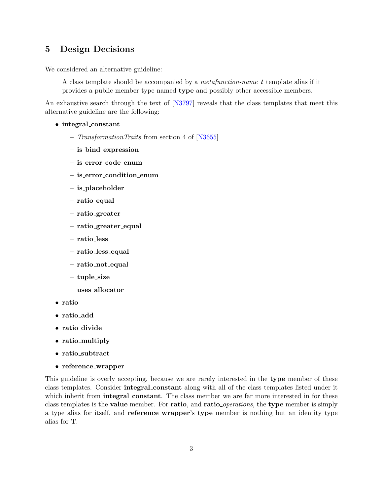## 5 Design Decisions

We considered an alternative guideline:

A class template should be accompanied by a *metafunction-name\_t* template alias if it provides a public member type named type and possibly other accessible members.

An exhaustive search through the text of [\[N3797\]](#page-3-2) reveals that the class templates that meet this alternative guideline are the following:

- integral\_constant
	- TransformationTraits from section 4 of [\[N3655\]](#page-3-0)
	- is bind expression
	- is error code enum
	- is error condition enum
	- is placeholder
	- ratio equal
	- ratio greater
	- ratio greater equal
	- ratio less
	- ratio less equal
	- ratio not equal
	- tuple size
	- uses allocator
- ratio
- ratio\_add
- ratio divide
- ratio multiply
- ratio\_subtract
- reference wrapper

This guideline is overly accepting, because we are rarely interested in the type member of these class templates. Consider integral constant along with all of the class templates listed under it which inherit from **integral\_constant**. The class member we are far more interested in for these class templates is the **value** member. For **ratio**, and **ratio**<sub>-operations, the **type** member is simply</sub> a type alias for itself, and reference wrapper's type member is nothing but an identity type alias for T.